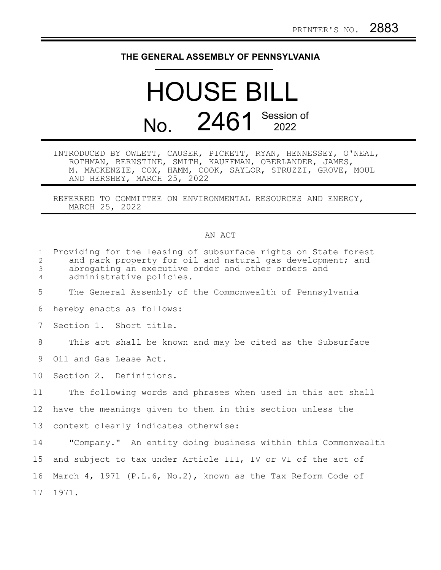## **THE GENERAL ASSEMBLY OF PENNSYLVANIA**

## HOUSE BILL No. 2461 Session of

INTRODUCED BY OWLETT, CAUSER, PICKETT, RYAN, HENNESSEY, O'NEAL, ROTHMAN, BERNSTINE, SMITH, KAUFFMAN, OBERLANDER, JAMES, M. MACKENZIE, COX, HAMM, COOK, SAYLOR, STRUZZI, GROVE, MOUL AND HERSHEY, MARCH 25, 2022

REFERRED TO COMMITTEE ON ENVIRONMENTAL RESOURCES AND ENERGY, MARCH 25, 2022

## AN ACT

| $\mathbf{1}$<br>$\overline{2}$<br>3<br>4 | Providing for the leasing of subsurface rights on State forest<br>and park property for oil and natural gas development; and<br>abrogating an executive order and other orders and<br>administrative policies. |
|------------------------------------------|----------------------------------------------------------------------------------------------------------------------------------------------------------------------------------------------------------------|
| 5                                        | The General Assembly of the Commonwealth of Pennsylvania                                                                                                                                                       |
| 6                                        | hereby enacts as follows:                                                                                                                                                                                      |
| 7                                        | Section 1. Short title.                                                                                                                                                                                        |
| 8                                        | This act shall be known and may be cited as the Subsurface                                                                                                                                                     |
| 9                                        | Oil and Gas Lease Act.                                                                                                                                                                                         |
| 10                                       | Section 2. Definitions.                                                                                                                                                                                        |
| 11                                       | The following words and phrases when used in this act shall                                                                                                                                                    |
| 12                                       | have the meanings given to them in this section unless the                                                                                                                                                     |
| 13                                       | context clearly indicates otherwise:                                                                                                                                                                           |
| 14                                       | "Company." An entity doing business within this Commonwealth                                                                                                                                                   |
| 15 <sub>1</sub>                          | and subject to tax under Article III, IV or VI of the act of                                                                                                                                                   |
| 16                                       | March 4, 1971 (P.L.6, No.2), known as the Tax Reform Code of                                                                                                                                                   |
|                                          | 17 1971.                                                                                                                                                                                                       |
|                                          |                                                                                                                                                                                                                |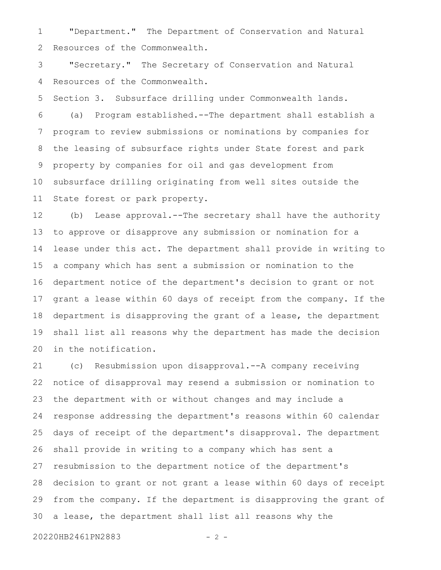"Department." The Department of Conservation and Natural Resources of the Commonwealth. 1 2

"Secretary." The Secretary of Conservation and Natural Resources of the Commonwealth. 3 4

Section 3. Subsurface drilling under Commonwealth lands. (a) Program established.--The department shall establish a program to review submissions or nominations by companies for the leasing of subsurface rights under State forest and park property by companies for oil and gas development from subsurface drilling originating from well sites outside the State forest or park property. 5 6 7 8 9 10 11

(b) Lease approval.--The secretary shall have the authority to approve or disapprove any submission or nomination for a lease under this act. The department shall provide in writing to a company which has sent a submission or nomination to the department notice of the department's decision to grant or not grant a lease within 60 days of receipt from the company. If the department is disapproving the grant of a lease, the department shall list all reasons why the department has made the decision in the notification. 12 13 14 15 16 17 18 19 20

(c) Resubmission upon disapproval.--A company receiving notice of disapproval may resend a submission or nomination to the department with or without changes and may include a response addressing the department's reasons within 60 calendar days of receipt of the department's disapproval. The department shall provide in writing to a company which has sent a resubmission to the department notice of the department's decision to grant or not grant a lease within 60 days of receipt from the company. If the department is disapproving the grant of a lease, the department shall list all reasons why the 21 22 23 24 25 26 27 28 29 30

20220HB2461PN2883 - 2 -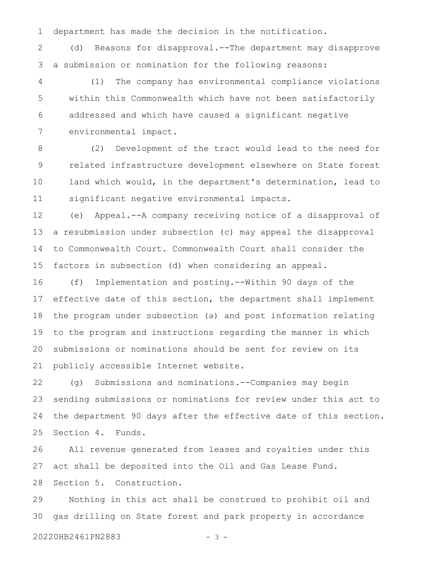department has made the decision in the notification. 1

(d) Reasons for disapproval.--The department may disapprove a submission or nomination for the following reasons: 2 3

(1) The company has environmental compliance violations within this Commonwealth which have not been satisfactorily addressed and which have caused a significant negative environmental impact. 4 5 6 7

(2) Development of the tract would lead to the need for related infrastructure development elsewhere on State forest land which would, in the department's determination, lead to significant negative environmental impacts. 8 9 10 11

(e) Appeal.--A company receiving notice of a disapproval of a resubmission under subsection (c) may appeal the disapproval to Commonwealth Court. Commonwealth Court shall consider the factors in subsection (d) when considering an appeal. 12 13 14 15

(f) Implementation and posting.--Within 90 days of the effective date of this section, the department shall implement the program under subsection (a) and post information relating to the program and instructions regarding the manner in which submissions or nominations should be sent for review on its publicly accessible Internet website. 16 17 18 19 20 21

(g) Submissions and nominations.--Companies may begin sending submissions or nominations for review under this act to the department 90 days after the effective date of this section. Section 4. Funds. 22 23 24 25

All revenue generated from leases and royalties under this act shall be deposited into the Oil and Gas Lease Fund. Section 5. Construction. 26 27 28

Nothing in this act shall be construed to prohibit oil and gas drilling on State forest and park property in accordance 29 30

20220HB2461PN2883 - 3 -